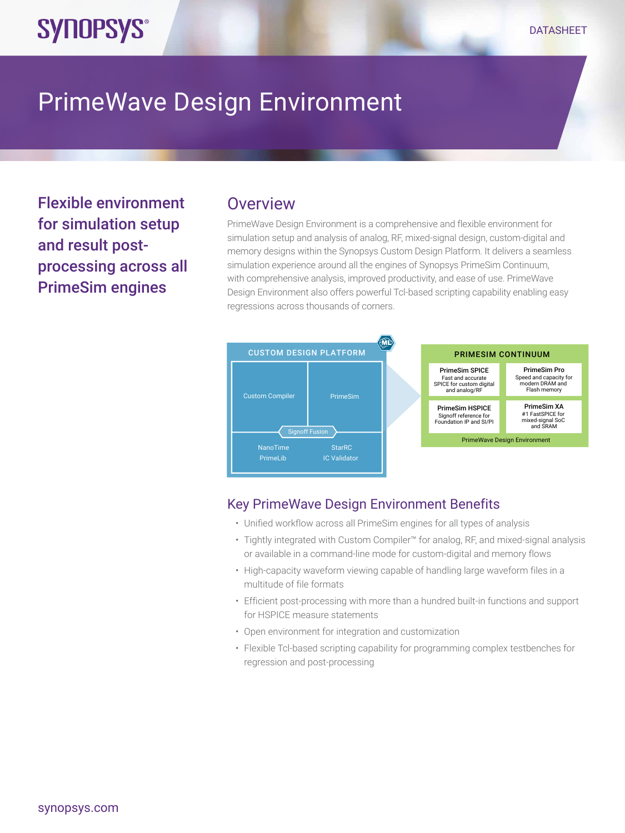# PrimeWave Design Environment

Flexible environment for simulation setup and result postprocessing across all PrimeSim engines

**SYNOPSYS®** 

## **Overview**

PrimeWave Design Environment is a comprehensive and flexible environment for simulation setup and analysis of analog, RF, mixed-signal design, custom-digital and memory designs within the Synopsys Custom Design Platform. It delivers a seamless simulation experience around all the engines of Synopsys PrimeSim Continuum, with comprehensive analysis, improved productivity, and ease of use. PrimeWave Design Environment also offers powerful Tcl-based scripting capability enabling easy regressions across thousands of corners.



#### Key PrimeWave Design Environment Benefits

- Unified workflow across all PrimeSim engines for all types of analysis
- Tightly integrated with Custom Compiler™ for analog, RF, and mixed-signal analysis or available in a command-line mode for custom-digital and memory flows
- High-capacity waveform viewing capable of handling large waveform files in a multitude of file formats
- Efficient post-processing with more than a hundred built-in functions and support for HSPICE measure statements
- Open environment for integration and customization
- Flexible Tcl-based scripting capability for programming complex testbenches for regression and post-processing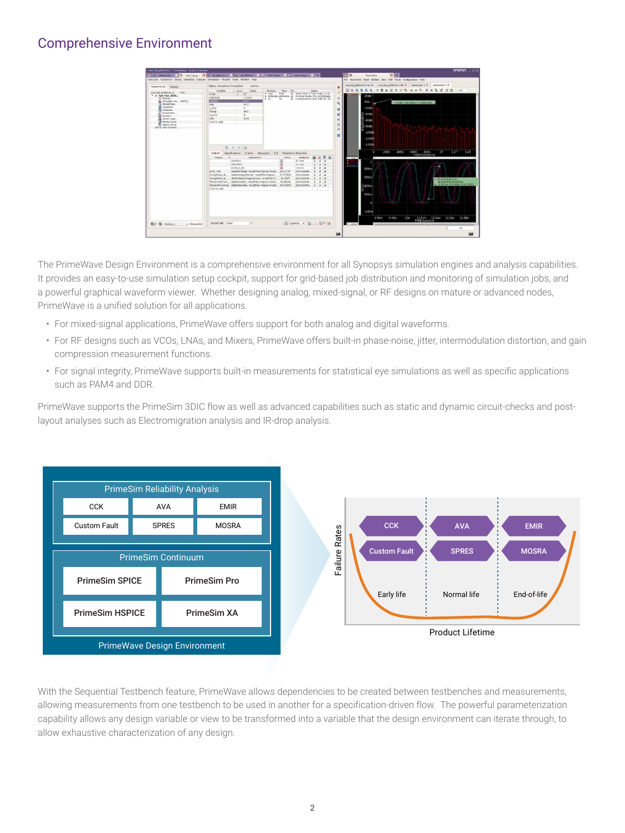### Comprehensive Environment



The PrimeWave Design Environment is a comprehensive environment for all Synopsys simulation engines and analysis capabilities. It provides an easy-to-use simulation setup cockpit, support for grid-based job distribution and monitoring of simulation jobs, and a powerful graphical waveform viewer. Whether designing analog, mixed-signal, or RF designs on mature or advanced nodes, PrimeWave is a unified solution for all applications.

- For mixed-signal applications, PrimeWave offers support for both analog and digital waveforms.
- For RF designs such as VCOs, LNAs, and Mixers, PrimeWave offers built-in phase-noise, jitter, intermodulation distortion, and gain compression measurement functions.
- For signal integrity, PrimeWave supports built-in measurements for statistical eye simulations as well as specific applications such as PAM4 and DDR.

PrimeWave supports the PrimeSim 3DIC flow as well as advanced capabilities such as static and dynamic circuit-checks and postlayout analyses such as Electromigration analysis and IR-drop analysis.



With the Sequential Testbench feature, PrimeWave allows dependencies to be created between testbenches and measurements, allowing measurements from one testbench to be used in another for a specification-driven flow. The powerful parameterization capability allows any design variable or view to be transformed into a variable that the design environment can iterate through, to allow exhaustive characterization of any design.